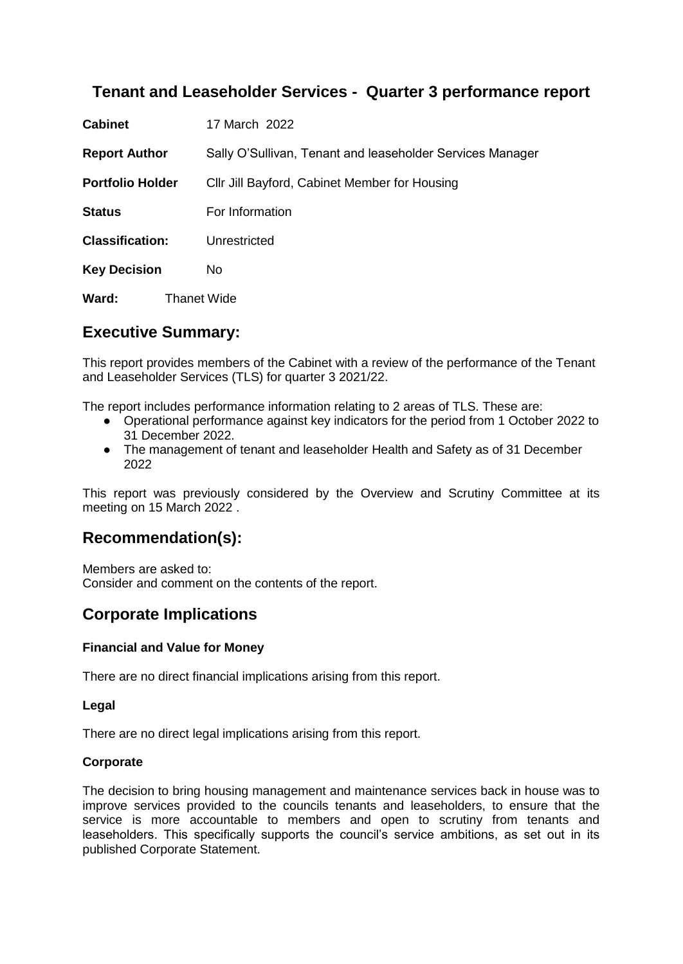# **Tenant and Leaseholder Services - Quarter 3 performance report**

| <b>Cabinet</b>          |                    | 17 March 2022                                             |
|-------------------------|--------------------|-----------------------------------------------------------|
| <b>Report Author</b>    |                    | Sally O'Sullivan, Tenant and leaseholder Services Manager |
| <b>Portfolio Holder</b> |                    | Cllr Jill Bayford, Cabinet Member for Housing             |
| <b>Status</b>           |                    | For Information                                           |
| <b>Classification:</b>  |                    | Unrestricted                                              |
| <b>Key Decision</b>     |                    | No.                                                       |
| Ward:                   | <b>Thanet Wide</b> |                                                           |

# **Executive Summary:**

This report provides members of the Cabinet with a review of the performance of the Tenant and Leaseholder Services (TLS) for quarter 3 2021/22.

The report includes performance information relating to 2 areas of TLS. These are:

- Operational performance against key indicators for the period from 1 October 2022 to 31 December 2022.
- The management of tenant and leaseholder Health and Safety as of 31 December 2022

This report was previously considered by the Overview and Scrutiny Committee at its meeting on 15 March 2022 .

## **Recommendation(s):**

Members are asked to: Consider and comment on the contents of the report.

# **Corporate Implications**

#### **Financial and Value for Money**

There are no direct financial implications arising from this report.

#### **Legal**

There are no direct legal implications arising from this report.

#### **Corporate**

The decision to bring housing management and maintenance services back in house was to improve services provided to the councils tenants and leaseholders, to ensure that the service is more accountable to members and open to scrutiny from tenants and leaseholders. This specifically supports the council's service ambitions, as set out in its published Corporate Statement.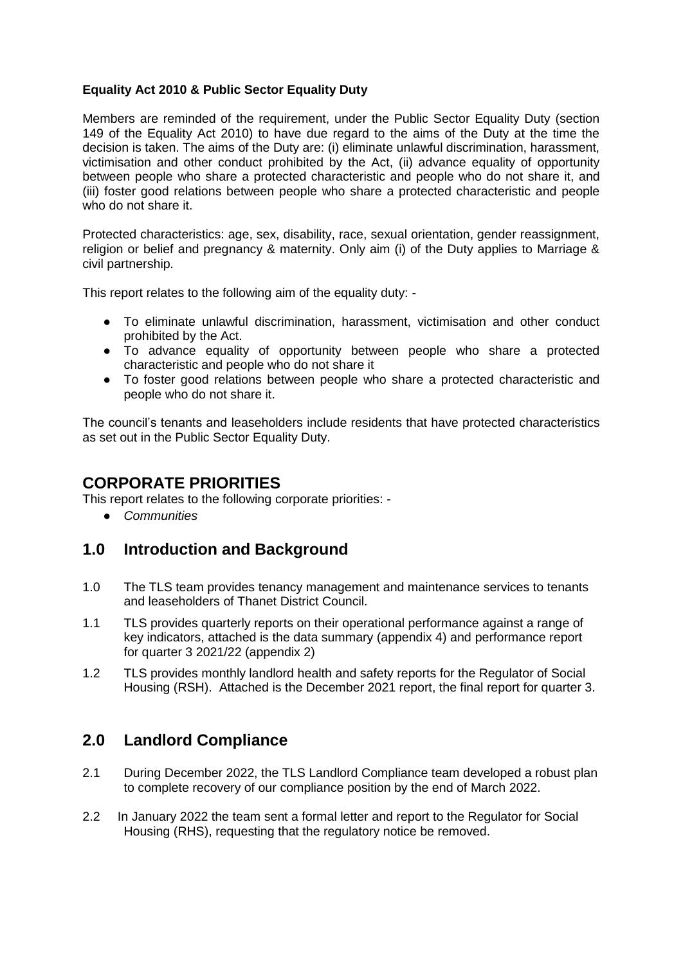#### **Equality Act 2010 & Public Sector Equality Duty**

Members are reminded of the requirement, under the Public Sector Equality Duty (section 149 of the Equality Act 2010) to have due regard to the aims of the Duty at the time the decision is taken. The aims of the Duty are: (i) eliminate unlawful discrimination, harassment, victimisation and other conduct prohibited by the Act, (ii) advance equality of opportunity between people who share a protected characteristic and people who do not share it, and (iii) foster good relations between people who share a protected characteristic and people who do not share it.

Protected characteristics: age, sex, disability, race, sexual orientation, gender reassignment, religion or belief and pregnancy & maternity. Only aim (i) of the Duty applies to Marriage & civil partnership.

This report relates to the following aim of the equality duty: -

- To eliminate unlawful discrimination, harassment, victimisation and other conduct prohibited by the Act.
- To advance equality of opportunity between people who share a protected characteristic and people who do not share it
- To foster good relations between people who share a protected characteristic and people who do not share it.

The council's tenants and leaseholders include residents that have protected characteristics as set out in the Public Sector Equality Duty.

## **CORPORATE PRIORITIES**

This report relates to the following corporate priorities: -

● *Communities*

## **1.0 Introduction and Background**

- 1.0 The TLS team provides tenancy management and maintenance services to tenants and leaseholders of Thanet District Council.
- 1.1 TLS provides quarterly reports on their operational performance against a range of key indicators, attached is the data summary (appendix 4) and performance report for quarter 3 2021/22 (appendix 2)
- 1.2 TLS provides monthly landlord health and safety reports for the Regulator of Social Housing (RSH). Attached is the December 2021 report, the final report for quarter 3.

## **2.0 Landlord Compliance**

- 2.1 During December 2022, the TLS Landlord Compliance team developed a robust plan to complete recovery of our compliance position by the end of March 2022.
- 2.2 In January 2022 the team sent a formal letter and report to the Regulator for Social Housing (RHS), requesting that the regulatory notice be removed.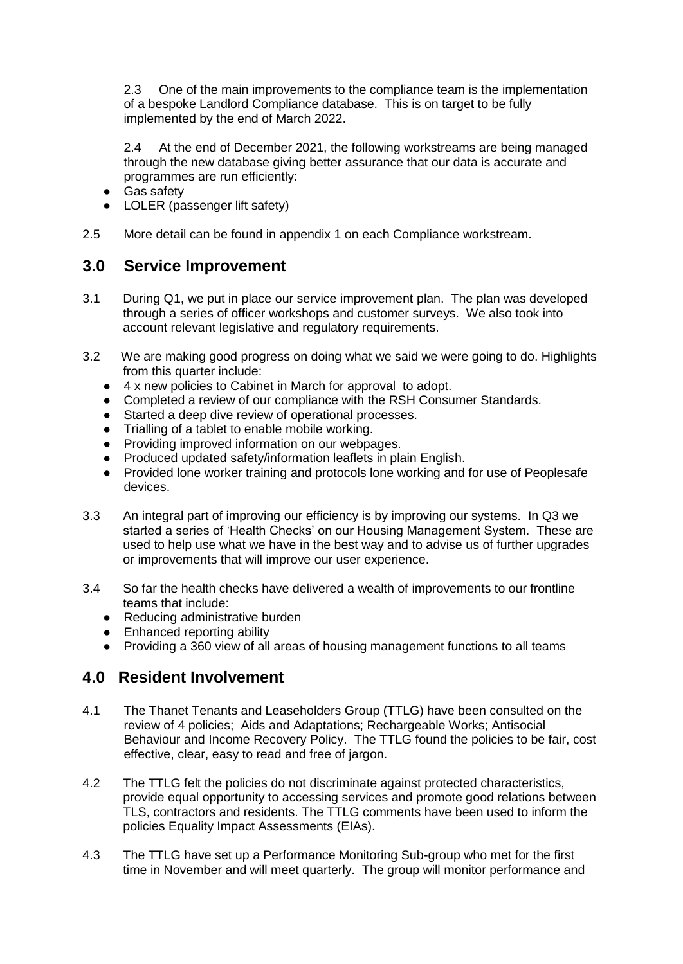2.3 One of the main improvements to the compliance team is the implementation of a bespoke Landlord Compliance database. This is on target to be fully implemented by the end of March 2022.

2.4 At the end of December 2021, the following workstreams are being managed through the new database giving better assurance that our data is accurate and programmes are run efficiently:

- Gas safety
- LOLER (passenger lift safety)
- 2.5 More detail can be found in appendix 1 on each Compliance workstream.

### **3.0 Service Improvement**

- 3.1 During Q1, we put in place our service improvement plan. The plan was developed through a series of officer workshops and customer surveys. We also took into account relevant legislative and regulatory requirements.
- 3.2 We are making good progress on doing what we said we were going to do. Highlights from this quarter include:
	- 4 x new policies to Cabinet in March for approval to adopt.
	- Completed a review of our compliance with the RSH Consumer Standards.
	- Started a deep dive review of operational processes.
	- Trialling of a tablet to enable mobile working.
	- Providing improved information on our webpages.
	- Produced updated safety/information leaflets in plain English.
	- Provided lone worker training and protocols lone working and for use of Peoplesafe devices.
- 3.3 An integral part of improving our efficiency is by improving our systems. In Q3 we started a series of 'Health Checks' on our Housing Management System. These are used to help use what we have in the best way and to advise us of further upgrades or improvements that will improve our user experience.
- 3.4 So far the health checks have delivered a wealth of improvements to our frontline teams that include:
	- Reducing administrative burden
	- Enhanced reporting ability
	- Providing a 360 view of all areas of housing management functions to all teams

## **4.0 Resident Involvement**

- 4.1 The Thanet Tenants and Leaseholders Group (TTLG) have been consulted on the review of 4 policies; Aids and Adaptations; Rechargeable Works; Antisocial Behaviour and Income Recovery Policy. The TTLG found the policies to be fair, cost effective, clear, easy to read and free of jargon.
- 4.2 The TTLG felt the policies do not discriminate against protected characteristics, provide equal opportunity to accessing services and promote good relations between TLS, contractors and residents. The TTLG comments have been used to inform the policies Equality Impact Assessments (EIAs).
- 4.3 The TTLG have set up a Performance Monitoring Sub-group who met for the first time in November and will meet quarterly. The group will monitor performance and